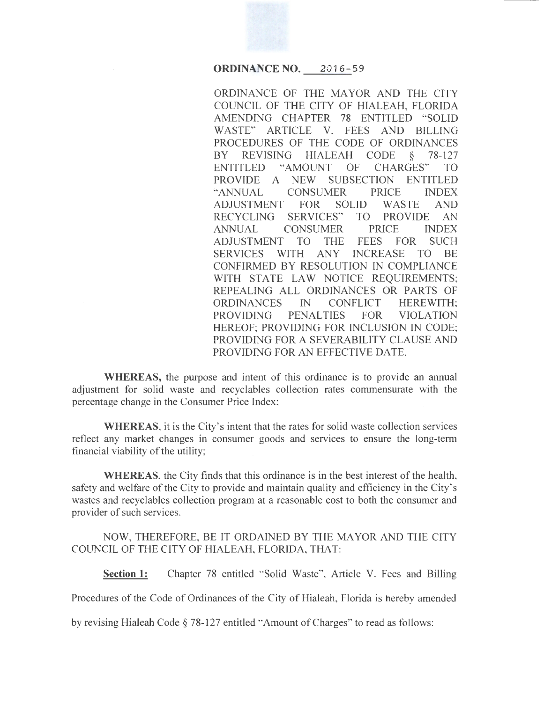

### **ORDINANCE NO.** 2016-59

ORDINANCE OF THE MAYOR AND THE CITY COUNCIL OF THE CITY OF HIALEAH, FLORIDA AMENDING CHAPTER 78 ENTITLED "SOLID WASTE" ARTICLE V. FEES AND BILLING PROCEDURES OF THE CODE OF ORDINANCES BY REVISING HIALEAH CODE § 78-127 ENTITLED "AMOUNT OF CHARGES" TO PROVIDE A NEW SUBSECTION ENTITLED "ANNUAL CONSUMER PRICE INDEX ADJUSTMENT FOR SOLID WASTE AND RECYCLING SERVICES" TO PROVIDE AN ANNUAL CONSUMER PRICE INDEX ADJUSTMENT TO THE FEES FOR SUCH SERVICES WITH ANY INCREASE TO BE CONFIRMED BY RESOLUTION IN COMPLIANCE WITH STATE LAW NOTICE REQUIREMENTS; REPEALING ALL ORDINANCES OR PARTS OF ORDINANCES IN CONFLICT HEREWITH; PROVIDING PENALTIES FOR VIOLATION HEREOF; PROVIDING FOR INCLUSION IN CODE; PROVIDING FOR A SEVERABILITY CLAUSE AND PROVIDING FOR AN EFFECTIVE DATE.

**WHEREAS,** the purpose and intent of this ordinance is to provide an annual adjustment for solid waste and recyclables collection rates commensurate with the percentage change in the Consumer Price Index;

**WHEREAS,** it is the City's intent that the rates for solid waste collection services reflect any market changes in consumer goods and services to ensure the long-term financial viability of the utility;

**WHEREAS,** the City finds that this ordinance is in the best interest of the health, safety and welfare of the City to provide and maintain quality and efficiency in the City's wastes and recyclables collection program at a reasonable cost to both the consumer and provider of such services.

NOW, THEREFORE, BE IT ORDAINED BY THE MAYOR AND THE CITY COUNCIL OF THE CITY OF HIALEAH, FLORIDA, THAT:

**Section 1:** Chapter 78 entitled "Solid Waste", Article V. Fees and Billing

Procedures of the Code of Ordinances of the City of Hialeah, Florida is hereby amended

by revising Hialeah Code § 78-127 entitled "Amount of Charges" to read as follows: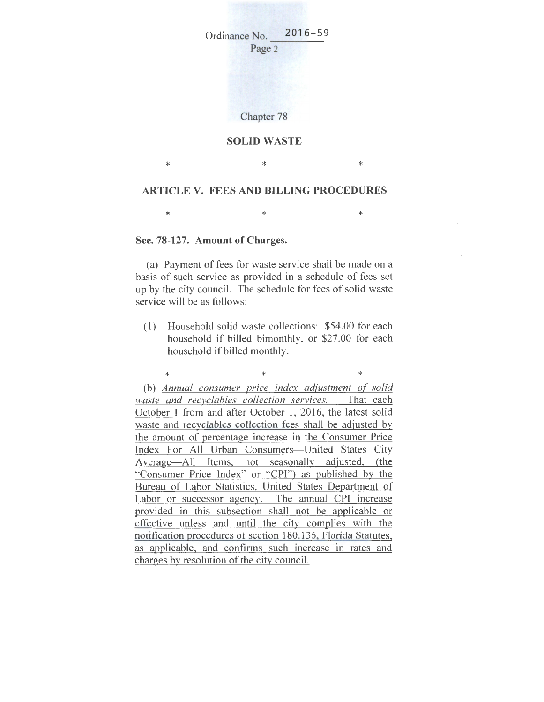Ordinance No.  $2016 - 59$ Page 2

Chapter 78

#### **SOLID WASTE**

### **ARTICLE V. FEES AND BILLING PROCEDURES**

 $*$   $*$   $*$ 

 $*$   $*$   $*$ 

### **Sec. 78-127. Amount of Charges.**

(a) Payment of fees for waste service shall be made on a basis of such service as provided in a schedule of fees set up by the city council. The schedule for fees of solid waste service will be as follows:

(1) Household solid waste collections: \$54.00 for each household if billed bimonthly, or \$27.00 for each household if billed monthly.

\* \* \* (b) *Annual consumer price index adjustment of solid waste and recyclables collection services.* That each October 1 from and after October 1, 2016, the latest solid waste and recyclables collection fees shall be adjusted by the amount of percentage increase in the Consumer Price Index For All Urban Consumers-United States City Average-All Items, not seasonally adjusted, (the "Consumer Price Index" or "CPI") as published by the Bureau of Labor Statistics, United States Department of Labor or successor agency. The annual CPI increase provided in this subsection shall not be applicable or effective unless and until the city complies with the notification procedures of section 180.136, Florida Statutes, as applicable, and confirms such increase in rates and charges by resolution of the city council.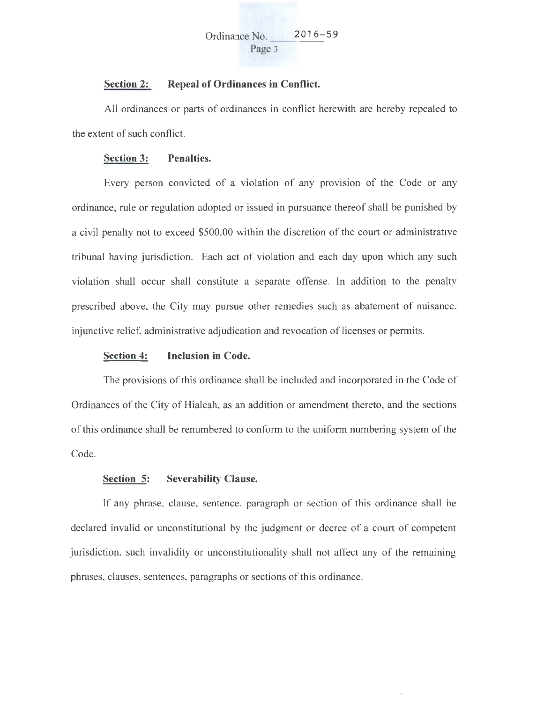# Ordinance No. 2016-59 Page 3

# **Section 2: Repeal of Ordinances in Conflict.**

All ordinances or parts of ordinances in conflict herewith are hereby repealed to the extent of such conflict.

### **Section 3: Penalties.**

Every person convicted of a violation of any provision of the Code or any ordinance, rule or regulation adopted or issued in pursuance thereof shall be punished by a civil penalty not to exceed \$500.00 within the discretion of the court or administrative tribunal having jurisdiction. Each act of violation and each day upon which any such violation shall occur shall constitute a separate offense. In addition to the penalty prescribed above, the City may pursue other remedies such as abatement of nuisance, injunctive relief, administrative adjudication and revocation of licenses or permits.

### **Section 4: Inclusion in Code.**

The provisions of this ordinance shall be included and incorporated in the Code of Ordinances of the City of Hialeah, as an addition or amendment thereto, and the sections of this ordinance shall be renumbered to conform to the uniform numbering system of the Code.

# **Section 5: Severability Clause.**

If any phrase, clause, sentence, paragraph or section of this ordinance shall be declared invalid or unconstitutional by the judgment or decree of a court of competent jurisdiction, such invalidity or unconstitutionality shall not affect any of the remaining phrases, clauses, sentences, paragraphs or sections of this ordinance.